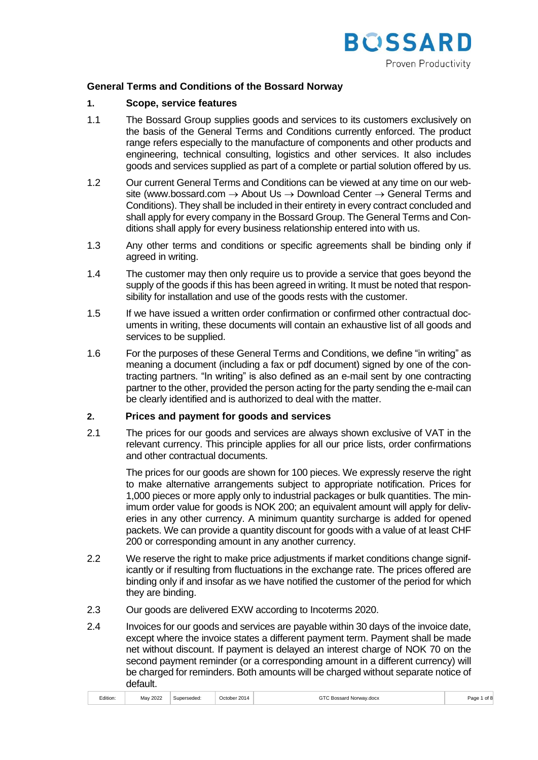

## **General Terms and Conditions of the Bossard Norway**

#### **1. Scope, service features**

- 1.1 The Bossard Group supplies goods and services to its customers exclusively on the basis of the General Terms and Conditions currently enforced. The product range refers especially to the manufacture of components and other products and engineering, technical consulting, logistics and other services. It also includes goods and services supplied as part of a complete or partial solution offered by us.
- 1.2 Our current General Terms and Conditions can be viewed at any time on our website (www.bossard.com  $\rightarrow$  About Us  $\rightarrow$  Download Center  $\rightarrow$  General Terms and Conditions). They shall be included in their entirety in every contract concluded and shall apply for every company in the Bossard Group. The General Terms and Conditions shall apply for every business relationship entered into with us.
- 1.3 Any other terms and conditions or specific agreements shall be binding only if agreed in writing.
- 1.4 The customer may then only require us to provide a service that goes beyond the supply of the goods if this has been agreed in writing. It must be noted that responsibility for installation and use of the goods rests with the customer.
- 1.5 If we have issued a written order confirmation or confirmed other contractual documents in writing, these documents will contain an exhaustive list of all goods and services to be supplied.
- 1.6 For the purposes of these General Terms and Conditions, we define "in writing" as meaning a document (including a fax or pdf document) signed by one of the contracting partners. "In writing" is also defined as an e-mail sent by one contracting partner to the other, provided the person acting for the party sending the e-mail can be clearly identified and is authorized to deal with the matter.

### **2. Prices and payment for goods and services**

2.1 The prices for our goods and services are always shown exclusive of VAT in the relevant currency. This principle applies for all our price lists, order confirmations and other contractual documents.

> The prices for our goods are shown for 100 pieces. We expressly reserve the right to make alternative arrangements subject to appropriate notification. Prices for 1,000 pieces or more apply only to industrial packages or bulk quantities. The minimum order value for goods is NOK 200; an equivalent amount will apply for deliveries in any other currency. A minimum quantity surcharge is added for opened packets. We can provide a quantity discount for goods with a value of at least CHF 200 or corresponding amount in any another currency.

- 2.2 We reserve the right to make price adjustments if market conditions change significantly or if resulting from fluctuations in the exchange rate. The prices offered are binding only if and insofar as we have notified the customer of the period for which they are binding.
- 2.3 Our goods are delivered EXW according to Incoterms 2020.
- 2.4 Invoices for our goods and services are payable within 30 days of the invoice date, except where the invoice states a different payment term. Payment shall be made net without discount. If payment is delayed an interest charge of NOK 70 on the second payment reminder (or a corresponding amount in a different currency) will be charged for reminders. Both amounts will be charged without separate notice of default.

| October 2014<br>1.1.1<br>May 2022<br>Superseded:<br>Edition: | GTC Bossard Norway.docx<br>of 8<br>Page 1 |
|--------------------------------------------------------------|-------------------------------------------|
|--------------------------------------------------------------|-------------------------------------------|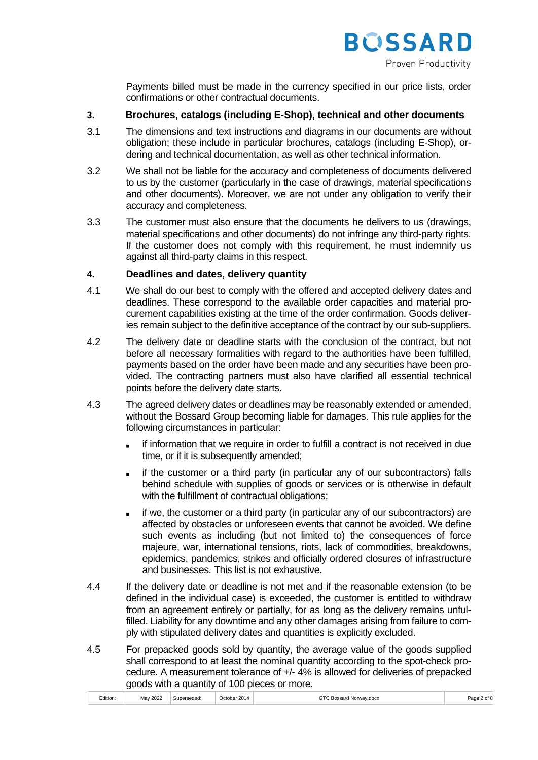

Payments billed must be made in the currency specified in our price lists, order confirmations or other contractual documents.

## **3. Brochures, catalogs (including E-Shop), technical and other documents**

- 3.1 The dimensions and text instructions and diagrams in our documents are without obligation; these include in particular brochures, catalogs (including E-Shop), ordering and technical documentation, as well as other technical information.
- 3.2 We shall not be liable for the accuracy and completeness of documents delivered to us by the customer (particularly in the case of drawings, material specifications and other documents). Moreover, we are not under any obligation to verify their accuracy and completeness.
- 3.3 The customer must also ensure that the documents he delivers to us (drawings, material specifications and other documents) do not infringe any third-party rights. If the customer does not comply with this requirement, he must indemnify us against all third-party claims in this respect.

## **4. Deadlines and dates, delivery quantity**

- 4.1 We shall do our best to comply with the offered and accepted delivery dates and deadlines. These correspond to the available order capacities and material procurement capabilities existing at the time of the order confirmation. Goods deliveries remain subject to the definitive acceptance of the contract by our sub-suppliers.
- 4.2 The delivery date or deadline starts with the conclusion of the contract, but not before all necessary formalities with regard to the authorities have been fulfilled, payments based on the order have been made and any securities have been provided. The contracting partners must also have clarified all essential technical points before the delivery date starts.
- 4.3 The agreed delivery dates or deadlines may be reasonably extended or amended, without the Bossard Group becoming liable for damages. This rule applies for the following circumstances in particular:
	- if information that we require in order to fulfill a contract is not received in due time, or if it is subsequently amended;
	- if the customer or a third party (in particular any of our subcontractors) falls behind schedule with supplies of goods or services or is otherwise in default with the fulfillment of contractual obligations;
	- if we, the customer or a third party (in particular any of our subcontractors) are affected by obstacles or unforeseen events that cannot be avoided. We define such events as including (but not limited to) the consequences of force majeure, war, international tensions, riots, lack of commodities, breakdowns, epidemics, pandemics, strikes and officially ordered closures of infrastructure and businesses. This list is not exhaustive.
- 4.4 If the delivery date or deadline is not met and if the reasonable extension (to be defined in the individual case) is exceeded, the customer is entitled to withdraw from an agreement entirely or partially, for as long as the delivery remains unfulfilled. Liability for any downtime and any other damages arising from failure to comply with stipulated delivery dates and quantities is explicitly excluded.
- 4.5 For prepacked goods sold by quantity, the average value of the goods supplied shall correspond to at least the nominal quantity according to the spot-check procedure. A measurement tolerance of +/- 4% is allowed for deliveries of prepacked goods with a quantity of 100 pieces or more.

| 0000<br>October 2014<br>ርገ<br>Mav<br>Inerseded<br>Edition:<br>' Bossard Norwav.docx<br>202<br>71. JETU<br>. | $\mathbf{u}$<br>$\sim$ |
|-------------------------------------------------------------------------------------------------------------|------------------------|
|-------------------------------------------------------------------------------------------------------------|------------------------|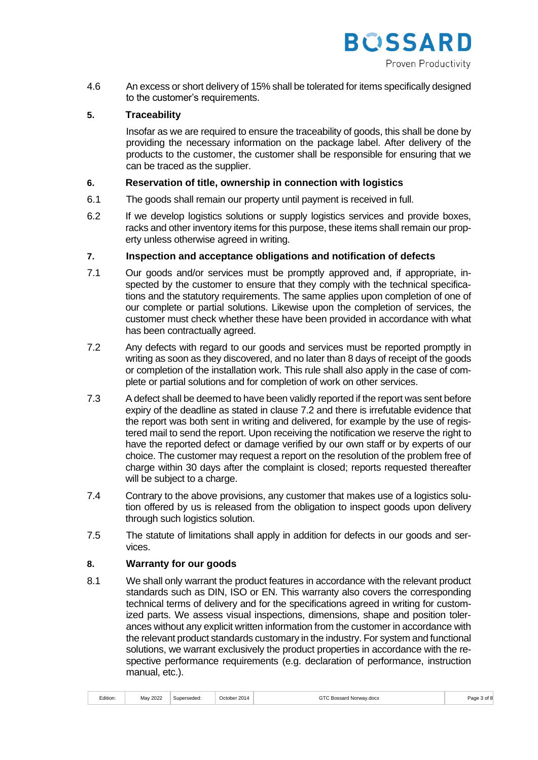

4.6 An excess or short delivery of 15% shall be tolerated for items specifically designed to the customer's requirements.

## **5. Traceability**

Insofar as we are required to ensure the traceability of goods, this shall be done by providing the necessary information on the package label. After delivery of the products to the customer, the customer shall be responsible for ensuring that we can be traced as the supplier.

## **6. Reservation of title, ownership in connection with logistics**

- 6.1 The goods shall remain our property until payment is received in full.
- 6.2 If we develop logistics solutions or supply logistics services and provide boxes, racks and other inventory items for this purpose, these items shall remain our property unless otherwise agreed in writing.

## **7. Inspection and acceptance obligations and notification of defects**

- 7.1 Our goods and/or services must be promptly approved and, if appropriate, inspected by the customer to ensure that they comply with the technical specifications and the statutory requirements. The same applies upon completion of one of our complete or partial solutions. Likewise upon the completion of services, the customer must check whether these have been provided in accordance with what has been contractually agreed.
- 7.2 Any defects with regard to our goods and services must be reported promptly in writing as soon as they discovered, and no later than 8 days of receipt of the goods or completion of the installation work. This rule shall also apply in the case of complete or partial solutions and for completion of work on other services.
- 7.3 A defect shall be deemed to have been validly reported if the report was sent before expiry of the deadline as stated in clause 7.2 and there is irrefutable evidence that the report was both sent in writing and delivered, for example by the use of registered mail to send the report. Upon receiving the notification we reserve the right to have the reported defect or damage verified by our own staff or by experts of our choice. The customer may request a report on the resolution of the problem free of charge within 30 days after the complaint is closed; reports requested thereafter will be subject to a charge.
- 7.4 Contrary to the above provisions, any customer that makes use of a logistics solution offered by us is released from the obligation to inspect goods upon delivery through such logistics solution.
- 7.5 The statute of limitations shall apply in addition for defects in our goods and services.

### **8. Warranty for our goods**

8.1 We shall only warrant the product features in accordance with the relevant product standards such as DIN, ISO or EN. This warranty also covers the corresponding technical terms of delivery and for the specifications agreed in writing for customized parts. We assess visual inspections, dimensions, shape and position tolerances without any explicit written information from the customer in accordance with the relevant product standards customary in the industry. For system and functional solutions, we warrant exclusively the product properties in accordance with the respective performance requirements (e.g. declaration of performance, instruction manual, etc.).

|  | .<br>Edition: | May 2022 | Superseded: | October 2014 | GTC Bossard Norway.docx | Page 3 of 8 |
|--|---------------|----------|-------------|--------------|-------------------------|-------------|
|--|---------------|----------|-------------|--------------|-------------------------|-------------|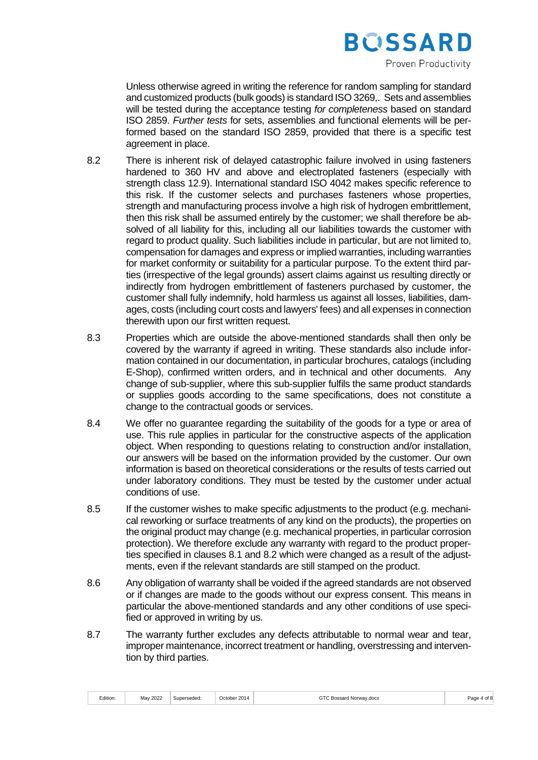

Unless otherwise agreed in writing the reference for random sampling for standard and customized products (bulk goods) is standard ISO 3269,. Sets and assemblies will be tested during the acceptance testing *for completeness* based on standard ISO 2859. *Further tests* for sets, assemblies and functional elements will be performed based on the standard ISO 2859, provided that there is a specific test agreement in place.

- 8.2 There is inherent risk of delayed catastrophic failure involved in using fasteners hardened to 360 HV and above and electroplated fasteners (especially with strength class 12.9). International standard ISO 4042 makes specific reference to this risk. If the customer selects and purchases fasteners whose properties, strength and manufacturing process involve a high risk of hydrogen embrittlement, then this risk shall be assumed entirely by the customer; we shall therefore be absolved of all liability for this, including all our liabilities towards the customer with regard to product quality. Such liabilities include in particular, but are not limited to, compensation for damages and express or implied warranties, including warranties for market conformity or suitability for a particular purpose. To the extent third parties (irrespective of the legal grounds) assert claims against us resulting directly or indirectly from hydrogen embrittlement of fasteners purchased by customer, the customer shall fully indemnify, hold harmless us against all losses, liabilities, damages, costs (including court costs and lawyers' fees) and all expenses in connection therewith upon our first written request.
- 8.3 Properties which are outside the above-mentioned standards shall then only be covered by the warranty if agreed in writing. These standards also include information contained in our documentation, in particular brochures, catalogs (including E-Shop), confirmed written orders, and in technical and other documents. Any change of sub-supplier, where this sub-supplier fulfils the same product standards or supplies goods according to the same specifications, does not constitute a change to the contractual goods or services.
- 8.4 We offer no guarantee regarding the suitability of the goods for a type or area of use. This rule applies in particular for the constructive aspects of the application object. When responding to questions relating to construction and/or installation, our answers will be based on the information provided by the customer. Our own information is based on theoretical considerations or the results of tests carried out under laboratory conditions. They must be tested by the customer under actual conditions of use.
- 8.5 If the customer wishes to make specific adjustments to the product (e.g. mechanical reworking or surface treatments of any kind on the products), the properties on the original product may change (e.g. mechanical properties, in particular corrosion protection). We therefore exclude any warranty with regard to the product properties specified in clauses 8.1 and 8.2 which were changed as a result of the adjustments, even if the relevant standards are still stamped on the product.
- 8.6 Any obligation of warranty shall be voided if the agreed standards are not observed or if changes are made to the goods without our express consent. This means in particular the above-mentioned standards and any other conditions of use specified or approved in writing by us.
- 8.7 The warranty further excludes any defects attributable to normal wear and tear, improper maintenance, incorrect treatment or handling, overstressing and intervention by third parties.

| -<br>2022<br>May<br>$-201$<br>Edition:<br>Bossard Norway.docx<br>Superseded<br>. )ctobe:<br>2014<br>.<br>. | ∩מה<br>$\mathbf{u}$<br>$\sim$ |
|------------------------------------------------------------------------------------------------------------|-------------------------------|
|------------------------------------------------------------------------------------------------------------|-------------------------------|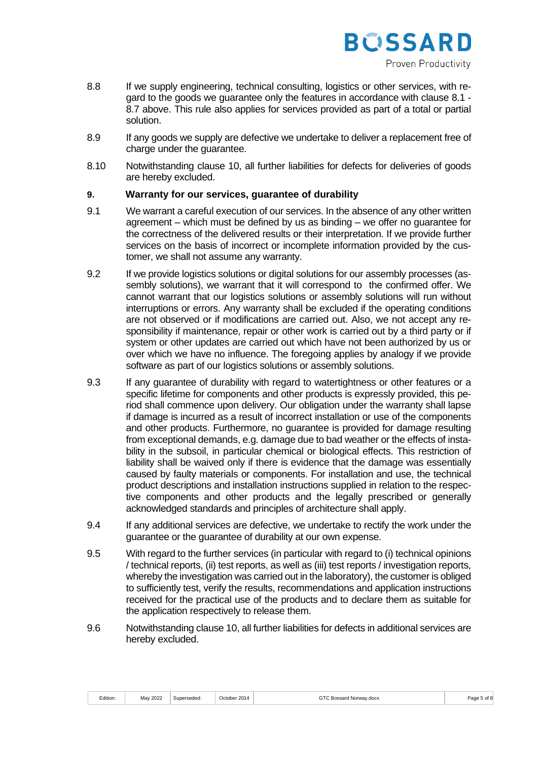

- 8.8 If we supply engineering, technical consulting, logistics or other services, with regard to the goods we guarantee only the features in accordance with clause 8.1 - 8.7 above. This rule also applies for services provided as part of a total or partial solution.
- 8.9 If any goods we supply are defective we undertake to deliver a replacement free of charge under the guarantee.
- 8.10 Notwithstanding clause 10, all further liabilities for defects for deliveries of goods are hereby excluded.

## **9. Warranty for our services, guarantee of durability**

- 9.1 We warrant a careful execution of our services. In the absence of any other written agreement – which must be defined by us as binding – we offer no guarantee for the correctness of the delivered results or their interpretation. If we provide further services on the basis of incorrect or incomplete information provided by the customer, we shall not assume any warranty.
- 9.2 If we provide logistics solutions or digital solutions for our assembly processes (assembly solutions), we warrant that it will correspond to the confirmed offer. We cannot warrant that our logistics solutions or assembly solutions will run without interruptions or errors. Any warranty shall be excluded if the operating conditions are not observed or if modifications are carried out. Also, we not accept any responsibility if maintenance, repair or other work is carried out by a third party or if system or other updates are carried out which have not been authorized by us or over which we have no influence. The foregoing applies by analogy if we provide software as part of our logistics solutions or assembly solutions.
- 9.3 If any guarantee of durability with regard to watertightness or other features or a specific lifetime for components and other products is expressly provided, this period shall commence upon delivery. Our obligation under the warranty shall lapse if damage is incurred as a result of incorrect installation or use of the components and other products. Furthermore, no guarantee is provided for damage resulting from exceptional demands, e.g. damage due to bad weather or the effects of instability in the subsoil, in particular chemical or biological effects. This restriction of liability shall be waived only if there is evidence that the damage was essentially caused by faulty materials or components. For installation and use, the technical product descriptions and installation instructions supplied in relation to the respective components and other products and the legally prescribed or generally acknowledged standards and principles of architecture shall apply.
- 9.4 If any additional services are defective, we undertake to rectify the work under the guarantee or the guarantee of durability at our own expense.
- 9.5 With regard to the further services (in particular with regard to (i) technical opinions / technical reports, (ii) test reports, as well as (iii) test reports / investigation reports, whereby the investigation was carried out in the laboratory), the customer is obliged to sufficiently test, verify the results, recommendations and application instructions received for the practical use of the products and to declare them as suitable for the application respectively to release them.
- 9.6 Notwithstanding clause 10, all further liabilities for defects in additional services are hereby excluded.

| 2014<br>2022<br>11.1<br>Superseded:<br>Edition:<br>Dctober<br>∍Mav ′<br>;Bossard Norwav.docx<br>. | $5 \text{ of } 8$<br>Page 5 |
|---------------------------------------------------------------------------------------------------|-----------------------------|
|---------------------------------------------------------------------------------------------------|-----------------------------|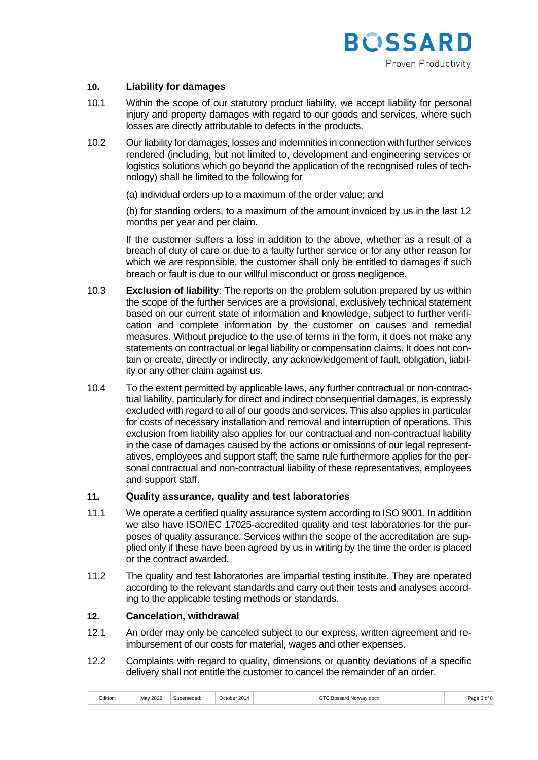

## **10. Liability for damages**

- 10.1 Within the scope of our statutory product liability, we accept liability for personal injury and property damages with regard to our goods and services, where such losses are directly attributable to defects in the products.
- 10.2 Our liability for damages, losses and indemnities in connection with further services rendered (including, but not limited to, development and engineering services or logistics solutions which go beyond the application of the recognised rules of technology) shall be limited to the following for
	- (a) individual orders up to a maximum of the order value; and

(b) for standing orders, to a maximum of the amount invoiced by us in the last 12 months per year and per claim.

If the customer suffers a loss in addition to the above, whether as a result of a breach of duty of care or due to a faulty further service or for any other reason for which we are responsible, the customer shall only be entitled to damages if such breach or fault is due to our willful misconduct or gross negligence.

- 10.3 **Exclusion of liability**: The reports on the problem solution prepared by us within the scope of the further services are a provisional, exclusively technical statement based on our current state of information and knowledge, subject to further verification and complete information by the customer on causes and remedial measures. Without prejudice to the use of terms in the form, it does not make any statements on contractual or legal liability or compensation claims. It does not contain or create, directly or indirectly, any acknowledgement of fault, obligation, liability or any other claim against us.
- 10.4 To the extent permitted by applicable laws, any further contractual or non-contractual liability, particularly for direct and indirect consequential damages, is expressly excluded with regard to all of our goods and services. This also applies in particular for costs of necessary installation and removal and interruption of operations. This exclusion from liability also applies for our contractual and non-contractual liability in the case of damages caused by the actions or omissions of our legal representatives, employees and support staff; the same rule furthermore applies for the personal contractual and non-contractual liability of these representatives, employees and support staff.

### **11. Quality assurance, quality and test laboratories**

- 11.1 We operate a certified quality assurance system according to ISO 9001. In addition we also have ISO/IEC 17025-accredited quality and test laboratories for the purposes of quality assurance. Services within the scope of the accreditation are supplied only if these have been agreed by us in writing by the time the order is placed or the contract awarded.
- 11.2 The quality and test laboratories are impartial testing institute. They are operated according to the relevant standards and carry out their tests and analyses according to the applicable testing methods or standards.

### **12. Cancelation, withdrawal**

- 12.1 An order may only be canceled subject to our express, written agreement and reimbursement of our costs for material, wages and other expenses.
- 12.2 Complaints with regard to quality, dimensions or quantity deviations of a specific delivery shall not entitle the customer to cancel the remainder of an order.

| Edition: | May 2022<br>and the control of the con- | Superseded | er 201<br>∩ctober .<br>14 | GΤ<br>: Bossard Norway.docx | ำ 1 |
|----------|-----------------------------------------|------------|---------------------------|-----------------------------|-----|
|----------|-----------------------------------------|------------|---------------------------|-----------------------------|-----|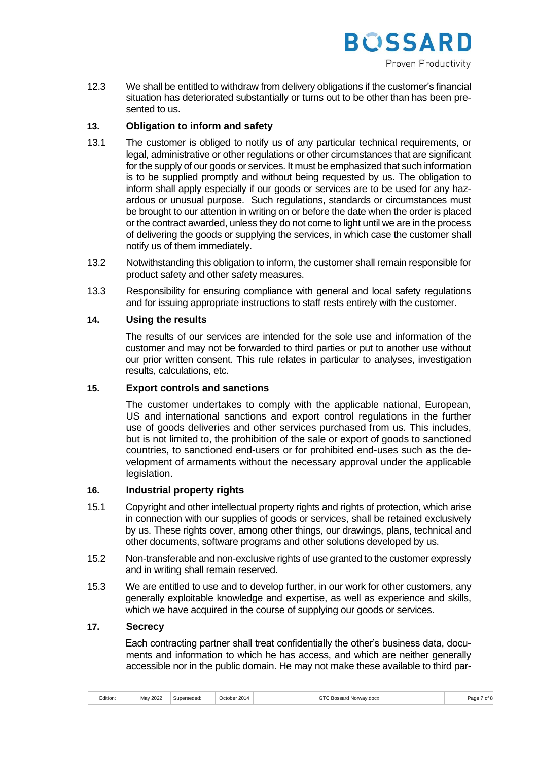

12.3 We shall be entitled to withdraw from delivery obligations if the customer's financial situation has deteriorated substantially or turns out to be other than has been presented to us.

# **13. Obligation to inform and safety**

- 13.1 The customer is obliged to notify us of any particular technical requirements, or legal, administrative or other regulations or other circumstances that are significant for the supply of our goods or services. It must be emphasized that such information is to be supplied promptly and without being requested by us. The obligation to inform shall apply especially if our goods or services are to be used for any hazardous or unusual purpose. Such regulations, standards or circumstances must be brought to our attention in writing on or before the date when the order is placed or the contract awarded, unless they do not come to light until we are in the process of delivering the goods or supplying the services, in which case the customer shall notify us of them immediately.
- 13.2 Notwithstanding this obligation to inform, the customer shall remain responsible for product safety and other safety measures.
- 13.3 Responsibility for ensuring compliance with general and local safety regulations and for issuing appropriate instructions to staff rests entirely with the customer.

# **14. Using the results**

The results of our services are intended for the sole use and information of the customer and may not be forwarded to third parties or put to another use without our prior written consent. This rule relates in particular to analyses, investigation results, calculations, etc.

### **15. Export controls and sanctions**

The customer undertakes to comply with the applicable national, European, US and international sanctions and export control regulations in the further use of goods deliveries and other services purchased from us. This includes, but is not limited to, the prohibition of the sale or export of goods to sanctioned countries, to sanctioned end-users or for prohibited end-uses such as the development of armaments without the necessary approval under the applicable legislation.

### **16. Industrial property rights**

- 15.1 Copyright and other intellectual property rights and rights of protection, which arise in connection with our supplies of goods or services, shall be retained exclusively by us. These rights cover, among other things, our drawings, plans, technical and other documents, software programs and other solutions developed by us.
- 15.2 Non-transferable and non-exclusive rights of use granted to the customer expressly and in writing shall remain reserved.
- 15.3 We are entitled to use and to develop further, in our work for other customers, any generally exploitable knowledge and expertise, as well as experience and skills, which we have acquired in the course of supplying our goods or services.

## **17. Secrecy**

Each contracting partner shall treat confidentially the other's business data, documents and information to which he has access, and which are neither generally accessible nor in the public domain. He may not make these available to third par-

|  | Edition: | 2022<br>May | erseded | r 201<br>4 ב | Rossard<br>l Norwav.docx<br>$-5540$<br>. | of i<br>Page |
|--|----------|-------------|---------|--------------|------------------------------------------|--------------|
|--|----------|-------------|---------|--------------|------------------------------------------|--------------|